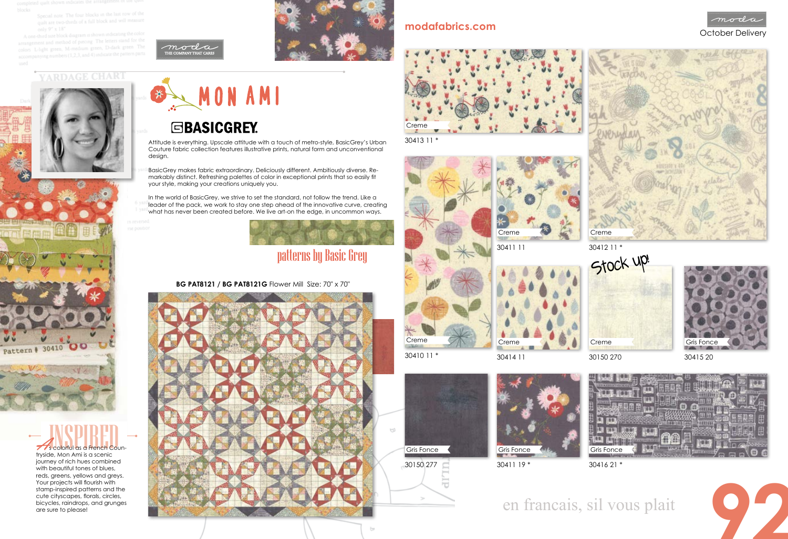Special note The four blocks in the last row of the quilt are two-thirds of a full block and will measure

and method of piecing. The letters stand for the is and measod of precing The D-dark green. The

RDAGE CHART



## MON AMI

## **GBASICGREY**

## en francais, sil vous plait

In the world of BasicGrey, we strive to set the standard, not follow the trend. Like a leader of the pack, we work to stay one step ahead of the innovative curve, creating what has never been created before. We live art-on the edge, in uncommon ways.



- Attitude is everything. Upscale attitude with a touch of metro-style, BasicGrey's Urban Couture fabric collection features illustrative prints, natural form and unconventional design.
- BasicGrey makes fabric extraordinary. Deliciously different. Ambitiously diverse. Remarkably distinct. Refreshing palettes of color in exceptional prints that so easily fit your style, making your creations uniquely you.

**77**'s colorful as a French Countryside, Mon Ami is a scenic



### **BG PAT8121 / BG PAT8121G** Flower Mill Size: 70" x 70"



30410 11 \*













30413 11 \*









## patterns by Basic Grey



30150 270 Creme

journey of rich hues combined with beautiful tones of blues, reds, greens, yellows and greys. Your projects will flourish with stamp-inspired patterns and the cute cityscapes, florals, circles, bicycles, raindrops, and grunges are sure to please!

30150 277



30411 19 \*











30415 20 Gris Fonce